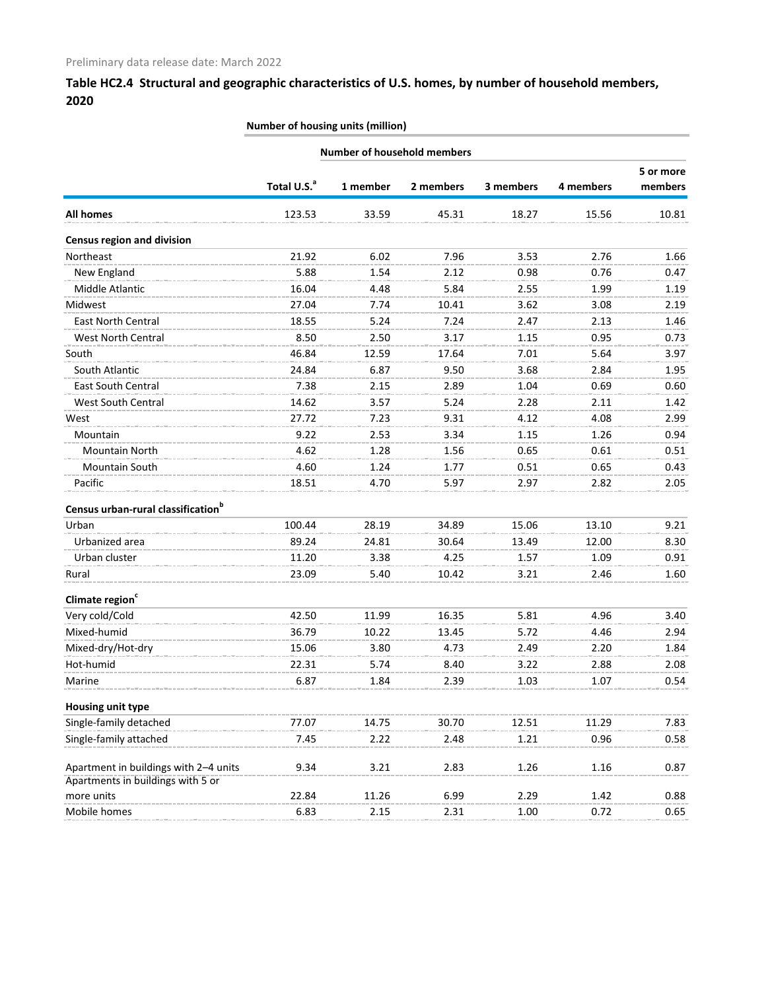**Number of housing units (million)**

|                                                | <b>Number of household members</b> |          |           |           |           |           |
|------------------------------------------------|------------------------------------|----------|-----------|-----------|-----------|-----------|
|                                                |                                    |          |           |           |           | 5 or more |
|                                                | Total U.S. <sup>a</sup>            | 1 member | 2 members | 3 members | 4 members | members   |
| All homes                                      | 123.53                             | 33.59    | 45.31     | 18.27     | 15.56     | 10.81     |
| <b>Census region and division</b>              |                                    |          |           |           |           |           |
| Northeast                                      | 21.92                              | 6.02     | 7.96      | 3.53      | 2.76      | 1.66      |
| New England                                    | 5.88                               | 1.54     | 2.12      | 0.98      | 0.76      | 0.47      |
| Middle Atlantic                                | 16.04                              | 4.48     | 5.84      | 2.55      | 1.99      | 1.19      |
| Midwest                                        | 27.04                              | 7.74     | 10.41     | 3.62      | 3.08      | 2.19      |
| East North Central                             | 18.55                              | 5.24     | 7.24      | 2.47      | 2.13      | 1.46      |
| West North Central                             | 8.50                               | 2.50     | 3.17      | 1.15      | 0.95      | 0.73      |
| South                                          | 46.84                              | 12.59    | 17.64     | 7.01      | 5.64      | 3.97      |
| South Atlantic                                 | 24.84                              | 6.87     | 9.50      | 3.68      | 2.84      | 1.95      |
| East South Central                             | 7.38                               | 2.15     | 2.89      | 1.04      | 0.69      | 0.60      |
| West South Central                             | 14.62                              | 3.57     | 5.24      | 2.28      | 2.11      | 1.42      |
| West                                           | 27.72                              | 7.23     | 9.31      | 4.12      | 4.08      | 2.99      |
| Mountain                                       | 9.22                               | 2.53     | 3.34      | 1.15      | 1.26      | 0.94      |
| Mountain North                                 | 4.62                               | 1.28     | 1.56      | 0.65      | 0.61      | 0.51      |
| Mountain South                                 | 4.60                               | 1.24     | 1.77      | 0.51      | 0.65      | 0.43      |
| Pacific                                        | 18.51                              | 4.70     | 5.97      | 2.97      | 2.82      | 2.05      |
| Census urban-rural classification <sup>b</sup> |                                    |          |           |           |           |           |
| Urban                                          | 100.44                             | 28.19    | 34.89     | 15.06     | 13.10     | 9.21      |
| Urbanized area                                 | 89.24                              | 24.81    | 30.64     | 13.49     | 12.00     | 8.30      |
| Urban cluster                                  | 11.20                              | 3.38     | 4.25      | 1.57      | 1.09      | 0.91      |
| Rural                                          | 23.09                              | 5.40     | 10.42     | 3.21      | 2.46      | 1.60      |
| Climate region <sup>c</sup>                    |                                    |          |           |           |           |           |
| Very cold/Cold                                 | 42.50                              | 11.99    | 16.35     | 5.81      | 4.96      | 3.40      |
| Mixed-humid                                    | 36.79                              | 10.22    | 13.45     | 5.72      | 4.46      | 2.94      |
| Mixed-dry/Hot-dry                              | 15.06                              | 3.80     | 4.73      | 2.49      | 2.20      | 1.84      |
| Hot-humid                                      | 22.31                              | 5.74     | 8.40      | 3.22      | 2.88      | 2.08      |
| Marine                                         | 6.87                               | 1.84     | 2.39      | 1.03      | 1.07      | 0.54      |
| Housing unit type                              |                                    |          |           |           |           |           |
| Single-family detached                         | 77.07                              | 14.75    | 30.70     | 12.51     | 11.29     | 7.83      |
| Single-family attached                         | 7.45                               | 2.22     | 2.48      | 1.21      | 0.96      | 0.58      |
| Apartment in buildings with 2-4 units          | 9.34                               | 3.21     | 2.83      | 1.26      | 1.16      | 0.87      |
| Apartments in buildings with 5 or              |                                    |          |           |           |           |           |
| more units                                     | 22.84                              | 11.26    | 6.99      | 2.29      | 1.42      | 0.88      |
| Mobile homes                                   | 6.83                               | 2.15     | 2.31      | 1.00      | 0.72      | 0.65      |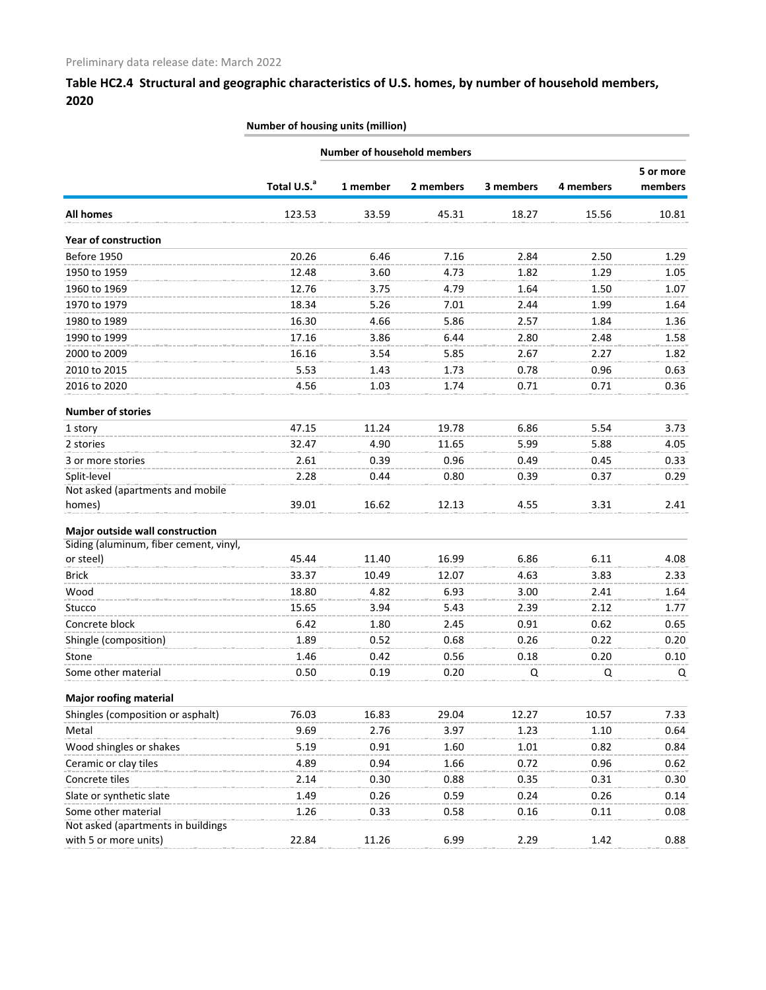|                                        | Number of housing units (million)  |          |           |           |           |                      |
|----------------------------------------|------------------------------------|----------|-----------|-----------|-----------|----------------------|
|                                        | <b>Number of household members</b> |          |           |           |           |                      |
|                                        | Total U.S. <sup>a</sup>            | 1 member | 2 members | 3 members | 4 members | 5 or more<br>members |
| <b>All homes</b>                       | 123.53                             | 33.59    | 45.31     | 18.27     | 15.56     | 10.81                |
| <b>Year of construction</b>            |                                    |          |           |           |           |                      |
| Before 1950                            | 20.26                              | 6.46     | 7.16      | 2.84      | 2.50      | 1.29                 |
| 1950 to 1959                           | 12.48                              | 3.60     | 4.73      | 1.82      | 1.29      | 1.05                 |
| 1960 to 1969                           | 12.76                              | 3.75     | 4.79      | 1.64      | 1.50      | 1.07                 |
| 1970 to 1979                           | 18.34                              | 5.26     | 7.01      | 2.44      | 1.99      | 1.64                 |
| 1980 to 1989                           | 16.30                              | 4.66     | 5.86      | 2.57      | 1.84      | 1.36                 |
| 1990 to 1999                           | 17.16                              | 3.86     | 6.44      | 2.80      | 2.48      | 1.58                 |
| 2000 to 2009                           | 16.16                              | 3.54     | 5.85      | 2.67      | 2.27      | 1.82                 |
| 2010 to 2015                           | 5.53                               | 1.43     | 1.73      | 0.78      | 0.96      | 0.63                 |
| 2016 to 2020                           | 4.56                               | 1.03     | 1.74      | 0.71      | 0.71      | 0.36                 |
| <b>Number of stories</b>               |                                    |          |           |           |           |                      |
| 1 story                                | 47.15                              | 11.24    | 19.78     | 6.86      | 5.54      | 3.73                 |
| 2 stories                              | 32.47                              | 4.90     | 11.65     | 5.99      | 5.88      | 4.05                 |
| 3 or more stories                      | 2.61                               | 0.39     | 0.96      | 0.49      | 0.45      | 0.33                 |
| Split-level                            | 2.28                               | 0.44     | 0.80      | 0.39      | 0.37      | 0.29                 |
| Not asked (apartments and mobile       |                                    |          |           |           |           |                      |
| homes)                                 | 39.01                              | 16.62    | 12.13     | 4.55      | 3.31      | 2.41                 |
| Major outside wall construction        |                                    |          |           |           |           |                      |
| Siding (aluminum, fiber cement, vinyl, |                                    |          |           |           |           |                      |
| or steel)                              | 45.44                              | 11.40    | 16.99     | 6.86      | 6.11      | 4.08                 |
| <b>Brick</b>                           | 33.37                              | 10.49    | 12.07     | 4.63      | 3.83      | 2.33                 |
| Wood                                   | 18.80                              | 4.82     | 6.93      | 3.00      | 2.41      | 1.64                 |
| Stucco                                 | 15.65                              | 3.94     | 5.43      | 2.39      | 2.12      | 1.77                 |
| Concrete block                         | 6.42                               | 1.80     | 2.45      | 0.91      | 0.62      | 0.65                 |
| Shingle (composition)                  | 1.89                               | 0.52     | 0.68      | 0.26      | 0.22      | 0.20                 |
| Stone                                  | 1.46                               | 0.42     | 0.56      | 0.18      | 0.20      | 0.10                 |
| Some other material                    | 0.50                               | 0.19     | 0.20      | Q         | Q         | Q                    |
| <b>Major roofing material</b>          |                                    |          |           |           |           |                      |
| Shingles (composition or asphalt)      | 76.03                              | 16.83    | 29.04     | 12.27     | 10.57     | 7.33                 |
| Metal                                  | 9.69                               | 2.76     | 3.97      | 1.23      | 1.10      | 0.64                 |
| Wood shingles or shakes                | 5.19                               | 0.91     | 1.60      | 1.01      | 0.82      | 0.84                 |
| Ceramic or clay tiles                  | 4.89                               | 0.94     | 1.66      | 0.72      | 0.96      | 0.62                 |
| Concrete tiles                         | 2.14                               | 0.30     | 0.88      | 0.35      | 0.31      | 0.30                 |
| Slate or synthetic slate               | 1.49                               | 0.26     | 0.59      | 0.24      | 0.26      | 0.14                 |
| Some other material                    | 1.26                               | 0.33     | 0.58      | 0.16      | 0.11      | 0.08                 |
| Not asked (apartments in buildings     |                                    |          |           |           |           |                      |
| with 5 or more units)                  | 22.84                              | 11.26    | 6.99      | 2.29      | 1.42      | 0.88                 |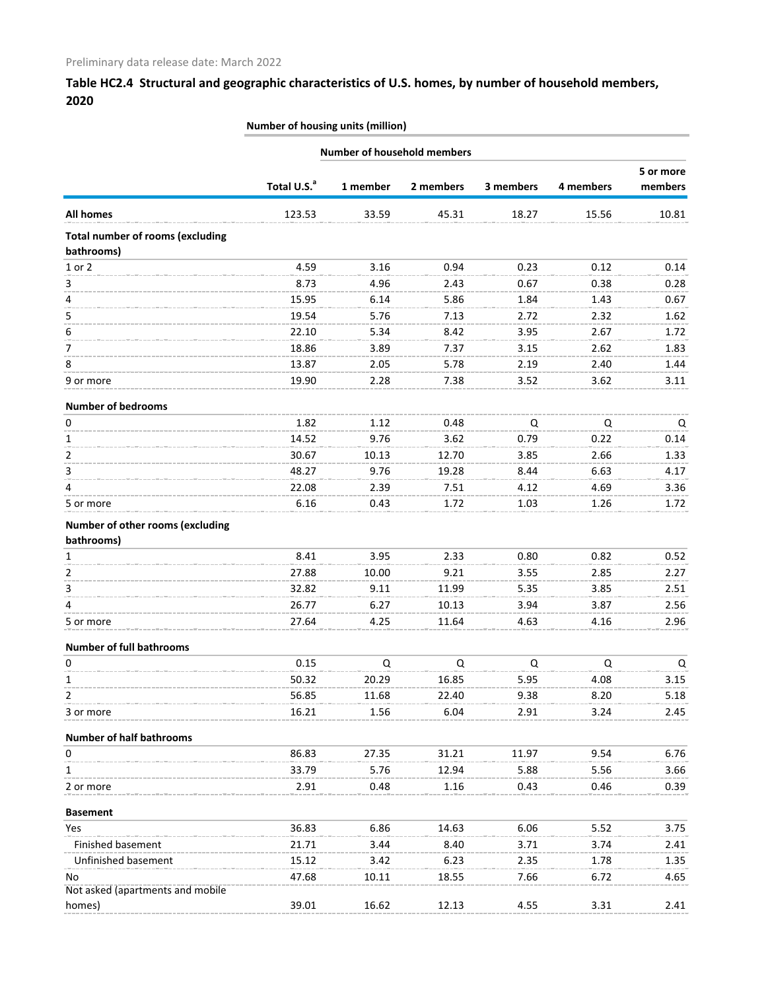## **Table HC2.4 Structural and geographic characteristics of U.S. homes, by number of household members, 2020**

|                                                       | Number of housing units (million) |             |                                    |           |           |                      |
|-------------------------------------------------------|-----------------------------------|-------------|------------------------------------|-----------|-----------|----------------------|
|                                                       |                                   |             | <b>Number of household members</b> |           |           |                      |
|                                                       | Total U.S. <sup>a</sup>           | 1 member    | 2 members                          | 3 members | 4 members | 5 or more<br>members |
| <b>All homes</b>                                      | 123.53                            | 33.59       | 45.31                              | 18.27     | 15.56     | 10.81                |
| <b>Total number of rooms (excluding</b><br>bathrooms) |                                   |             |                                    |           |           |                      |
| 1 or 2                                                | 4.59                              | 3.16        | 0.94                               | 0.23      | 0.12      | 0.14                 |
| 3                                                     | 8.73                              | 4.96        | 2.43                               | 0.67      | 0.38      | 0.28                 |
| 4                                                     | 15.95                             | 6.14        | 5.86                               | 1.84      | 1.43      | 0.67                 |
| 5                                                     | 19.54                             | 5.76        | 7.13                               | 2.72      | 2.32      | 1.62                 |
| 6                                                     | 22.10                             | 5.34        | 8.42                               | 3.95      | 2.67      | 1.72                 |
| 7                                                     | 18.86                             | 3.89        | 7.37                               | 3.15      | 2.62      | 1.83                 |
| 8                                                     | 13.87                             | 2.05        | 5.78                               | 2.19      | 2.40      | 1.44                 |
| 9 or more                                             | 19.90                             | 2.28        | 7.38                               | 3.52      | 3.62      | 3.11                 |
| <b>Number of bedrooms</b>                             |                                   |             |                                    |           |           |                      |
| 0                                                     | 1.82                              | 1.12        | 0.48                               | Q         | Q         | Q                    |
| 1                                                     | 14.52                             | 9.76        | 3.62                               | 0.79      | 0.22      | 0.14                 |
| 2                                                     | 30.67                             | 10.13       | 12.70                              | 3.85      | 2.66      | 1.33                 |
| 3                                                     | 48.27                             | 9.76        | 19.28                              | 8.44      | 6.63      | 4.17                 |
| 4                                                     | 22.08                             | 2.39        | 7.51                               | 4.12      | 4.69      | 3.36                 |
| 5 or more                                             | 6.16                              | 0.43        | 1.72                               | 1.03      | 1.26      | 1.72                 |
| Number of other rooms (excluding<br>bathrooms)        |                                   |             |                                    |           |           |                      |
| 1                                                     | 8.41                              | 3.95        | 2.33                               | 0.80      | 0.82      | 0.52                 |
| 2                                                     | 27.88                             | 10.00       | 9.21                               | 3.55      | 2.85      | 2.27                 |
| 3                                                     | 32.82                             | 9.11        | 11.99                              | 5.35      | 3.85      | 2.51                 |
| 4                                                     | 26.77                             | 6.27        | 10.13                              | 3.94      | 3.87      | 2.56                 |
| 5 or more                                             | 27.64                             | 4.25        | 11.64                              | 4.63      | 4.16      | 2.96                 |
| <b>Number of full bathrooms</b>                       |                                   |             |                                    |           |           |                      |
| 0                                                     | 0.15                              | $\mathsf Q$ | Q                                  | ${\sf Q}$ | Q         | Q                    |
| 1                                                     | 50.32                             | 20.29       | 16.85                              | 5.95      | 4.08      | 3.15                 |
| 2                                                     | 56.85                             | 11.68       | 22.40                              | 9.38      | 8.20      | 5.18                 |
| 3 or more                                             | 16.21                             | 1.56        | 6.04                               | 2.91      | 3.24      | 2.45                 |
| <b>Number of half bathrooms</b>                       |                                   |             |                                    |           |           |                      |
| 0                                                     | 86.83                             | 27.35       | 31.21                              | 11.97     | 9.54      | 6.76                 |
| 1                                                     | 33.79                             | 5.76        | 12.94                              | 5.88      | 5.56      | 3.66                 |
| 2 or more                                             | 2.91                              | 0.48        | 1.16                               | 0.43      | 0.46      | 0.39                 |
| <b>Basement</b>                                       |                                   |             |                                    |           |           |                      |
| Yes                                                   | 36.83                             | 6.86        | 14.63                              | 6.06      | 5.52      | 3.75                 |
| Finished basement                                     | 21.71                             | 3.44        | 8.40                               | 3.71      | 3.74      | 2.41                 |
| Unfinished basement                                   | 15.12                             | 3.42        | 6.23                               | 2.35      | 1.78      | 1.35                 |
| No                                                    | 47.68                             | 10.11       | 18.55                              | 7.66      | 6.72      | 4.65                 |
| Not asked (apartments and mobile                      |                                   |             |                                    |           |           |                      |

homes) 39.01 16.62 12.13 4.55 3.31 2.41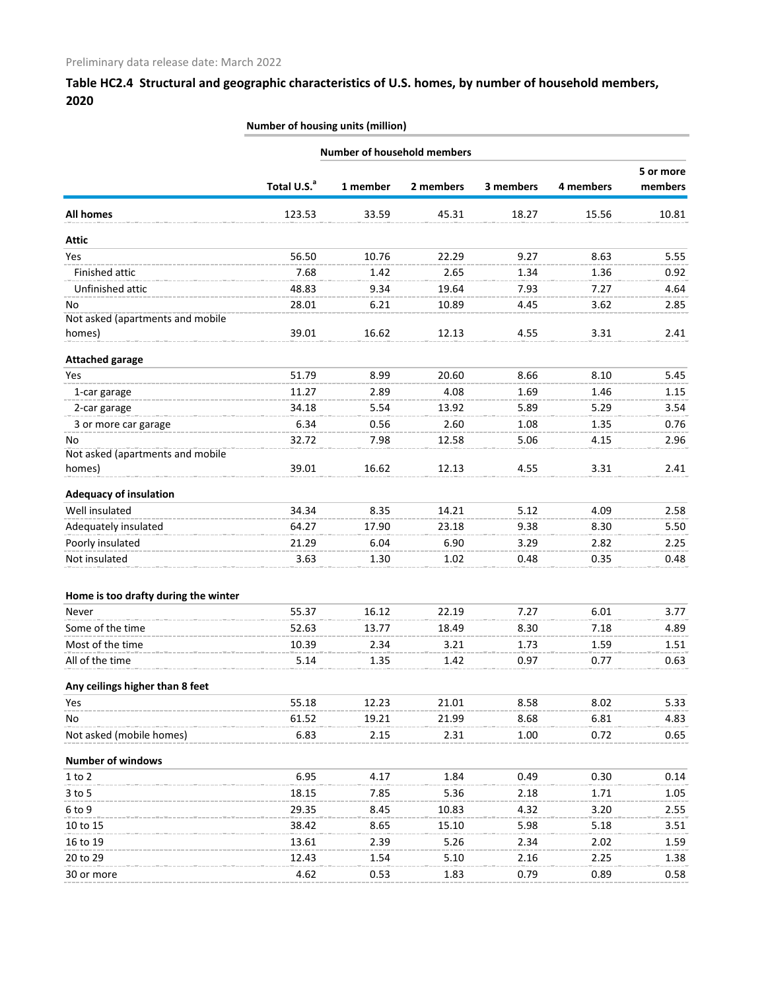|                                      | Number of household members |          |           |           |           |                      |
|--------------------------------------|-----------------------------|----------|-----------|-----------|-----------|----------------------|
|                                      |                             |          |           |           |           |                      |
|                                      | Total U.S. <sup>a</sup>     | 1 member | 2 members | 3 members | 4 members | 5 or more<br>members |
|                                      |                             |          |           |           |           |                      |
| <b>All homes</b>                     | 123.53                      | 33.59    | 45.31     | 18.27     | 15.56     | 10.81                |
| <b>Attic</b>                         |                             |          |           |           |           |                      |
| Yes                                  | 56.50                       | 10.76    | 22.29     | 9.27      | 8.63      | 5.55                 |
| Finished attic                       | 7.68                        | 1.42     | 2.65      | 1.34      | 1.36      | 0.92                 |
| Unfinished attic                     | 48.83                       | 9.34     | 19.64     | 7.93      | 7.27      | 4.64                 |
| No                                   | 28.01                       | 6.21     | 10.89     | 4.45      | 3.62      | 2.85                 |
| Not asked (apartments and mobile     |                             |          |           |           |           |                      |
| homes)                               | 39.01                       | 16.62    | 12.13     | 4.55      | 3.31      | 2.41                 |
| <b>Attached garage</b>               |                             |          |           |           |           |                      |
| Yes                                  | 51.79                       | 8.99     | 20.60     | 8.66      | 8.10      | 5.45                 |
| 1-car garage                         | 11.27                       | 2.89     | 4.08      | 1.69      | 1.46      | 1.15                 |
| 2-car garage                         | 34.18                       | 5.54     | 13.92     | 5.89      | 5.29      | 3.54                 |
| 3 or more car garage                 | 6.34                        | 0.56     | 2.60      | 1.08      | 1.35      | 0.76                 |
| No                                   | 32.72                       | 7.98     | 12.58     | 5.06      | 4.15      | 2.96                 |
| Not asked (apartments and mobile     |                             |          |           |           |           |                      |
| homes)                               | 39.01                       | 16.62    | 12.13     | 4.55      | 3.31      | 2.41                 |
| <b>Adequacy of insulation</b>        |                             |          |           |           |           |                      |
| Well insulated                       | 34.34                       | 8.35     | 14.21     | 5.12      | 4.09      | 2.58                 |
| Adequately insulated                 | 64.27                       | 17.90    | 23.18     | 9.38      | 8.30      | 5.50                 |
| Poorly insulated                     | 21.29                       | 6.04     | 6.90      | 3.29      | 2.82      | 2.25                 |
| Not insulated                        | 3.63                        | 1.30     | 1.02      | 0.48      | 0.35      | 0.48                 |
|                                      |                             |          |           |           |           |                      |
| Home is too drafty during the winter |                             |          |           |           |           |                      |
| Never                                | 55.37                       | 16.12    | 22.19     | 7.27      | 6.01      | 3.77                 |
| Some of the time                     | 52.63                       | 13.77    | 18.49     | 8.30      | 7.18      | 4.89                 |
| Most of the time                     | 10.39                       | 2.34     | 3.21      | 1.73      | 1.59      | 1.51                 |
| All of the time                      | 5.14                        | 1.35     | 1.42      | 0.97      | 0.77      | 0.63                 |
| Any ceilings higher than 8 feet      |                             |          |           |           |           |                      |
| Yes                                  | 55.18                       | 12.23    | 21.01     | 8.58      | 8.02      | 5.33                 |
| No                                   | 61.52                       | 19.21    | 21.99     | 8.68      | 6.81      | 4.83                 |
| Not asked (mobile homes)             | 6.83                        | 2.15     | 2.31      | 1.00      | 0.72      | 0.65                 |
| <b>Number of windows</b>             |                             |          |           |           |           |                      |
| $1$ to $2$                           | 6.95                        | 4.17     | 1.84      | 0.49      | 0.30      | 0.14                 |
| $3$ to 5                             | 18.15                       | 7.85     | 5.36      | 2.18      | 1.71      | 1.05                 |
| 6 to 9                               | 29.35                       | 8.45     | 10.83     | 4.32      | 3.20      | 2.55                 |
| 10 to 15                             | 38.42                       | 8.65     | 15.10     | 5.98      | 5.18      | 3.51                 |
| 16 to 19                             | 13.61                       | 2.39     | 5.26      | 2.34      | 2.02      | 1.59                 |
| 20 to 29                             | 12.43                       | 1.54     | 5.10      | 2.16      | 2.25      | 1.38                 |
| 30 or more                           | 4.62                        | 0.53     | 1.83      | 0.79      | 0.89      | 0.58                 |
|                                      |                             |          |           |           |           |                      |

### **Number of housing units (million)**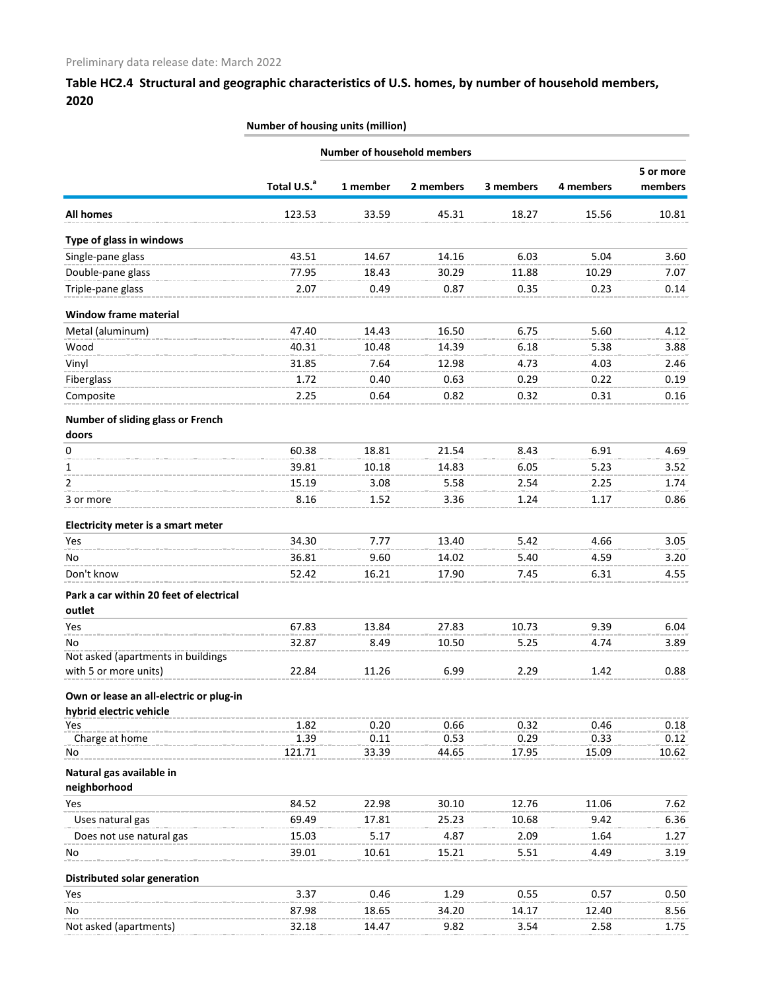|                                                                    | Number of housing units (million) |                                    |           |           |           |                      |
|--------------------------------------------------------------------|-----------------------------------|------------------------------------|-----------|-----------|-----------|----------------------|
|                                                                    |                                   | <b>Number of household members</b> |           |           |           |                      |
|                                                                    | Total U.S. <sup>a</sup>           | 1 member                           | 2 members | 3 members | 4 members | 5 or more<br>members |
| All homes                                                          | 123.53                            | 33.59                              | 45.31     | 18.27     | 15.56     | 10.81                |
| Type of glass in windows                                           |                                   |                                    |           |           |           |                      |
| Single-pane glass                                                  | 43.51                             | 14.67                              | 14.16     | 6.03      | 5.04      | 3.60                 |
| Double-pane glass                                                  | 77.95                             | 18.43                              | 30.29     | 11.88     | 10.29     | 7.07                 |
| Triple-pane glass                                                  | 2.07                              | 0.49                               | 0.87      | 0.35      | 0.23      | 0.14                 |
| Window frame material                                              |                                   |                                    |           |           |           |                      |
| Metal (aluminum)                                                   | 47.40                             | 14.43                              | 16.50     | 6.75      | 5.60      | 4.12                 |
| Wood                                                               | 40.31                             | 10.48                              | 14.39     | 6.18      | 5.38      | 3.88                 |
| Vinyl                                                              | 31.85                             | 7.64                               | 12.98     | 4.73      | 4.03      | 2.46                 |
| Fiberglass                                                         | 1.72                              | 0.40                               | 0.63      | 0.29      | 0.22      | 0.19                 |
| Composite                                                          | 2.25                              | 0.64                               | 0.82      | 0.32      | 0.31      | 0.16                 |
| Number of sliding glass or French<br>doors                         |                                   |                                    |           |           |           |                      |
| 0                                                                  | 60.38                             | 18.81                              | 21.54     | 8.43      | 6.91      | 4.69                 |
| 1                                                                  | 39.81                             | 10.18                              | 14.83     | 6.05      | 5.23      | 3.52                 |
| 2                                                                  | 15.19                             | 3.08                               | 5.58      | 2.54      | 2.25      | 1.74                 |
| 3 or more                                                          | 8.16                              | 1.52                               | 3.36      | 1.24      | 1.17      | 0.86                 |
|                                                                    |                                   |                                    |           |           |           |                      |
| Electricity meter is a smart meter<br>Yes                          | 34.30                             | 7.77                               | 13.40     | 5.42      | 4.66      | 3.05                 |
| No                                                                 | 36.81                             | 9.60                               | 14.02     | 5.40      | 4.59      | 3.20                 |
| Don't know                                                         | 52.42                             | 16.21                              | 17.90     | 7.45      | 6.31      | 4.55                 |
|                                                                    |                                   |                                    |           |           |           |                      |
| Park a car within 20 feet of electrical<br>outlet                  |                                   |                                    |           |           |           |                      |
| Yes                                                                | 67.83                             | 13.84                              | 27.83     | 10.73     | 9.39      | 6.04                 |
| No                                                                 | 32.87                             | 8.49                               | 10.50     | 5.25      | 4.74      | 3.89                 |
| Not asked (apartments in buildings                                 |                                   |                                    |           |           |           |                      |
| with 5 or more units)                                              | 22.84                             | 11.26                              | 6.99      | 2.29      | 1.42      | 0.88                 |
| Own or lease an all-electric or plug-in<br>hybrid electric vehicle |                                   |                                    |           |           |           |                      |
| Yes                                                                | 1.82                              | 0.20                               | 0.66      | 0.32      | 0.46      | 0.18                 |
| Charge at home                                                     | 1.39                              | 0.11                               | 0.53      | 0.29      | 0.33      | 0.12                 |
| No                                                                 | 121.71                            | 33.39                              | 44.65     | 17.95     | 15.09     | 10.62                |
| Natural gas available in<br>neighborhood                           |                                   |                                    |           |           |           |                      |
| Yes                                                                | 84.52                             | 22.98                              | 30.10     | 12.76     | 11.06     | 7.62                 |
| Uses natural gas                                                   | 69.49                             | 17.81                              | 25.23     | 10.68     | 9.42      | 6.36                 |
| Does not use natural gas                                           | 15.03                             | 5.17                               | 4.87      | 2.09      | 1.64      | 1.27                 |
| No                                                                 | 39.01                             | 10.61                              | 15.21     | 5.51      | 4.49      | 3.19                 |
| Distributed solar generation                                       |                                   |                                    |           |           |           |                      |
| Yes                                                                | 3.37                              | 0.46                               | 1.29      | 0.55      | 0.57      | 0.50                 |
| No                                                                 | 87.98                             | 18.65                              | 34.20     | 14.17     | 12.40     | 8.56                 |
| Not asked (apartments)                                             | 32.18                             | 14.47                              | 9.82      | 3.54      | 2.58      | 1.75                 |
|                                                                    |                                   |                                    |           |           |           |                      |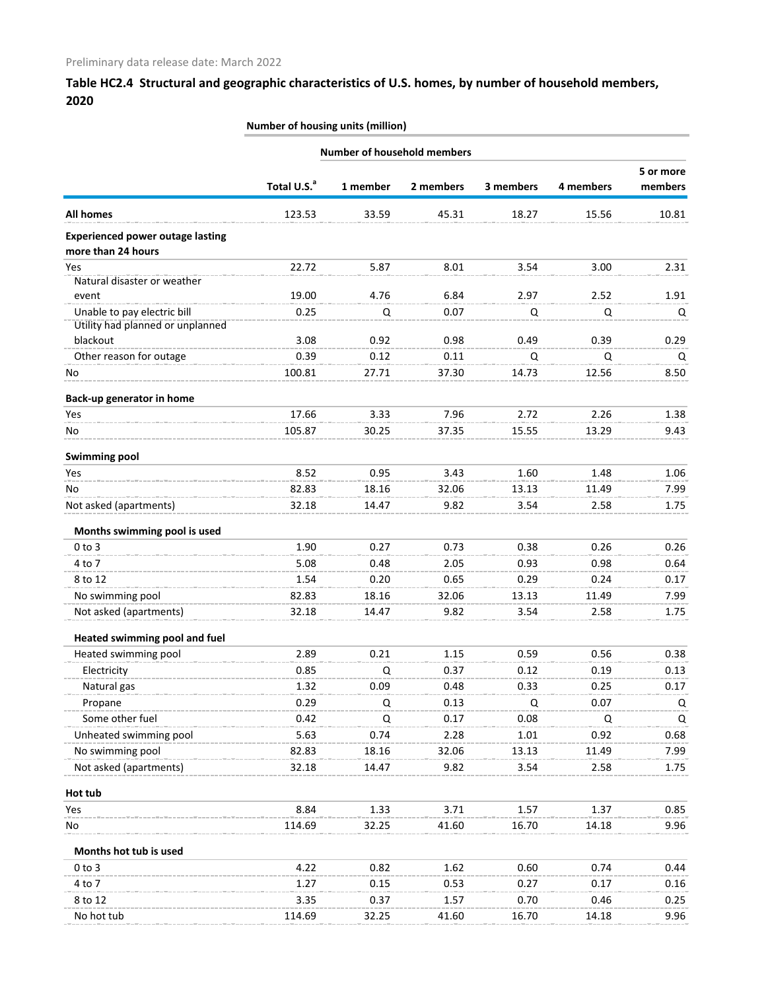| Number of housing units (million) |  |
|-----------------------------------|--|
|                                   |  |

| <b>Number of household members</b>                            |                         |          |           |           |           |                      |
|---------------------------------------------------------------|-------------------------|----------|-----------|-----------|-----------|----------------------|
|                                                               | Total U.S. <sup>a</sup> | 1 member | 2 members | 3 members | 4 members | 5 or more<br>members |
| <b>All homes</b>                                              | 123.53                  | 33.59    | 45.31     | 18.27     | 15.56     | 10.81                |
| <b>Experienced power outage lasting</b><br>more than 24 hours |                         |          |           |           |           |                      |
| Yes                                                           | 22.72                   | 5.87     | 8.01      | 3.54      | 3.00      | 2.31                 |
| Natural disaster or weather                                   |                         |          |           |           |           |                      |
| event                                                         | 19.00                   | 4.76     | 6.84      | 2.97      | 2.52      | 1.91                 |
| Unable to pay electric bill                                   | 0.25                    | Q        | 0.07      | Q         | Q         | Q                    |
| Utility had planned or unplanned                              |                         |          |           |           |           |                      |
| blackout                                                      | 3.08                    | 0.92     | 0.98      | 0.49      | 0.39      | 0.29                 |
| Other reason for outage                                       | 0.39                    | 0.12     | 0.11      | Q         | Q         | Q                    |
| No                                                            | 100.81                  | 27.71    | 37.30     | 14.73     | 12.56     | 8.50                 |
| Back-up generator in home                                     |                         |          |           |           |           |                      |
| Yes                                                           | 17.66                   | 3.33     | 7.96      | 2.72      | 2.26      | 1.38                 |
| No                                                            | 105.87                  | 30.25    | 37.35     | 15.55     | 13.29     | 9.43                 |
| <b>Swimming pool</b>                                          |                         |          |           |           |           |                      |
| Yes                                                           | 8.52                    | 0.95     | 3.43      | 1.60      | 1.48      | 1.06                 |
| No                                                            | 82.83                   | 18.16    | 32.06     | 13.13     | 11.49     | 7.99                 |
| Not asked (apartments)                                        | 32.18                   | 14.47    | 9.82      | 3.54      | 2.58      | 1.75                 |
| Months swimming pool is used                                  |                         |          |           |           |           |                      |
| $0$ to $3$                                                    | 1.90                    | 0.27     | 0.73      | 0.38      | 0.26      | 0.26                 |
| 4 to 7                                                        | 5.08                    | 0.48     | 2.05      | 0.93      | 0.98      | 0.64                 |
| 8 to 12                                                       | 1.54                    | 0.20     | 0.65      | 0.29      | 0.24      | 0.17                 |
| No swimming pool                                              | 82.83                   | 18.16    | 32.06     | 13.13     | 11.49     | 7.99                 |
| Not asked (apartments)                                        | 32.18                   | 14.47    | 9.82      | 3.54      | 2.58      | 1.75                 |
| Heated swimming pool and fuel                                 |                         |          |           |           |           |                      |
| Heated swimming pool                                          | 2.89                    | 0.21     | 1.15      | 0.59      | 0.56      | 0.38                 |
| Electricity                                                   | 0.85                    | Q        | 0.37      | 0.12      | 0.19      | 0.13                 |
| Natural gas                                                   | 1.32                    | 0.09     | 0.48      | 0.33      | 0.25      | 0.17                 |
| Propane                                                       | 0.29                    | Q        | 0.13      | Q         | 0.07      | Q                    |
| Some other fuel                                               | 0.42                    | Q        | 0.17      | 0.08      | Q         | Q                    |
| Unheated swimming pool                                        | 5.63                    | 0.74     | 2.28      | 1.01      | 0.92      | 0.68                 |
| No swimming pool                                              | 82.83                   | 18.16    | 32.06     | 13.13     | 11.49     | 7.99                 |
| Not asked (apartments)                                        | 32.18                   | 14.47    | 9.82      | 3.54      | 2.58      | 1.75                 |
| Hot tub                                                       |                         |          |           |           |           |                      |
| Yes                                                           | 8.84                    | 1.33     | 3.71      | 1.57      | 1.37      | 0.85                 |
| No                                                            | 114.69                  | 32.25    | 41.60     | 16.70     | 14.18     | 9.96                 |
| Months hot tub is used                                        |                         |          |           |           |           |                      |
| $0$ to $3$                                                    | 4.22                    | 0.82     | 1.62      | 0.60      | 0.74      | 0.44                 |
| 4 to 7                                                        | 1.27                    | 0.15     | 0.53      | 0.27      | 0.17      | 0.16                 |
| 8 to 12                                                       | 3.35                    | 0.37     | 1.57      | 0.70      | 0.46      | 0.25                 |
| No hot tub                                                    | 114.69                  | 32.25    | 41.60     | 16.70     | 14.18     | 9.96                 |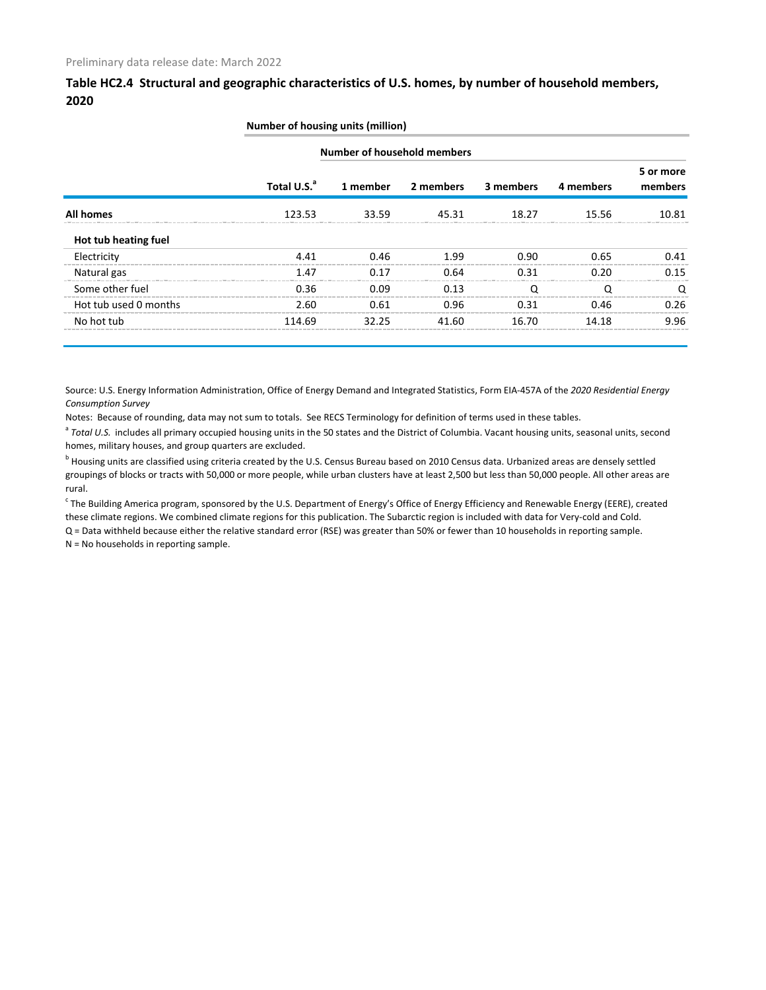| Number of housing units (million) |  |  |
|-----------------------------------|--|--|
|-----------------------------------|--|--|

| <b>Number of household members</b> |                         |          |           |           |           |                      |
|------------------------------------|-------------------------|----------|-----------|-----------|-----------|----------------------|
|                                    | Total U.S. <sup>a</sup> | 1 member | 2 members | 3 members | 4 members | 5 or more<br>members |
| <b>All homes</b>                   | 123.53                  | 33.59    | 45.31     | 18.27     | 15.56     | 10.81                |
| Hot tub heating fuel               |                         |          |           |           |           |                      |
| Electricity                        | 4.41                    | 0.46     | 1.99      | 0.90      | 0.65      | በ 41                 |
| Natural gas                        | 1.47                    | 0.17     | 0.64      | 0.31      | 0.20      | 0.15                 |
| Some other fuel                    | 0.36                    | 0.09     | 0.13      | റ         |           |                      |
| Hot tub used 0 months              | 2.60                    | 0.61     | 0.96      | 0.31      | 0.46      | 0.26                 |
| No hot tub                         | 114.69                  | 32.25    | 41.60     | 16.70     | 14.18     | 9.96                 |

Source: U.S. Energy Information Administration, Office of Energy Demand and Integrated Statistics, Form EIA-457A of the *2020 Residential Energy Consumption Survey*

Notes: Because of rounding, data may not sum to totals. See RECS Terminology for definition of terms used in these tables.

<sup>a</sup> Total U.S. includes all primary occupied housing units in the 50 states and the District of Columbia. Vacant housing units, seasonal units, second homes, military houses, and group quarters are excluded.

<sup>b</sup> Housing units are classified using criteria created by the U.S. Census Bureau based on 2010 Census data. Urbanized areas are densely settled groupings of blocks or tracts with 50,000 or more people, while urban clusters have at least 2,500 but less than 50,000 people. All other areas are rural.

 $^c$  The Building America program, sponsored by the U.S. Department of Energy's Office of Energy Efficiency and Renewable Energy (EERE), created these climate regions. We combined climate regions for this publication. The Subarctic region is included with data for Very-cold and Cold. Q = Data withheld because either the relative standard error (RSE) was greater than 50% or fewer than 10 households in reporting sample.

N = No households in reporting sample.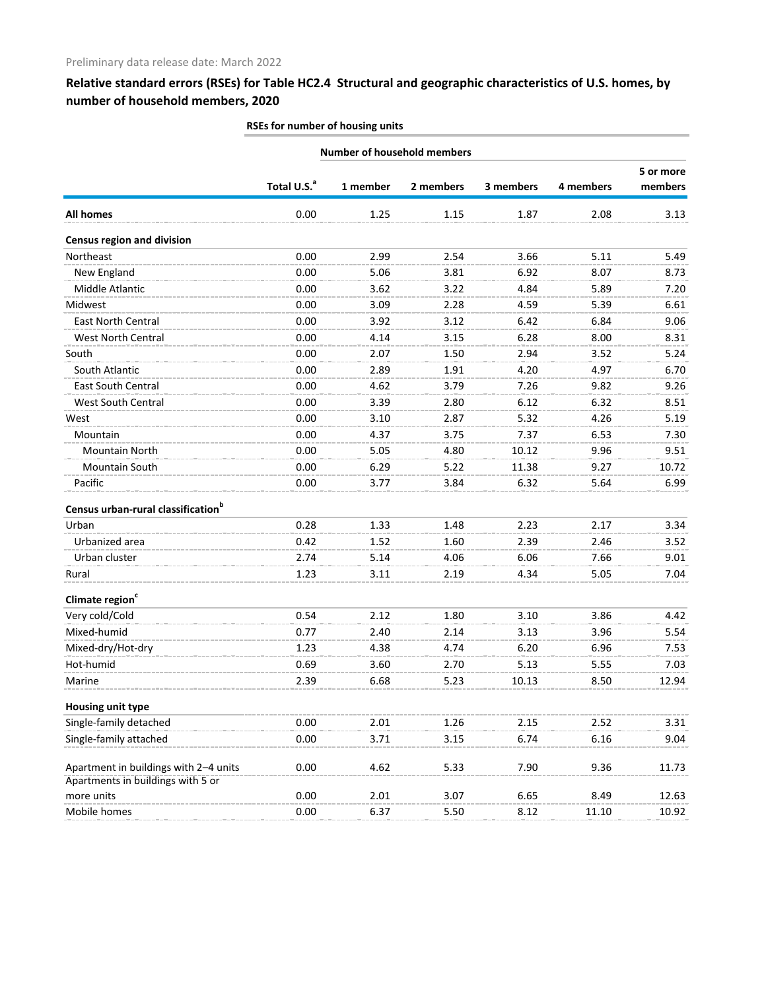|                                                | <b>Number of household members</b> |          |           |           |           |                      |
|------------------------------------------------|------------------------------------|----------|-----------|-----------|-----------|----------------------|
|                                                | Total U.S. <sup>a</sup>            | 1 member | 2 members | 3 members | 4 members | 5 or more<br>members |
| <b>All homes</b>                               | 0.00                               | 1.25     | 1.15      | 1.87      | 2.08      | 3.13                 |
| <b>Census region and division</b>              |                                    |          |           |           |           |                      |
| Northeast                                      | 0.00                               | 2.99     | 2.54      | 3.66      | 5.11      | 5.49                 |
| New England                                    | 0.00                               | 5.06     | 3.81      | 6.92      | 8.07      | 8.73                 |
| Middle Atlantic                                | 0.00                               | 3.62     | 3.22      | 4.84      | 5.89      | 7.20                 |
| Midwest                                        | 0.00                               | 3.09     | 2.28      | 4.59      | 5.39      | 6.61                 |
| East North Central                             | 0.00                               | 3.92     | 3.12      | 6.42      | 6.84      | 9.06                 |
| West North Central                             | 0.00                               | 4.14     | 3.15      | 6.28      | 8.00      | 8.31                 |
| South                                          | 0.00                               | 2.07     | 1.50      | 2.94      | 3.52      | 5.24                 |
| South Atlantic                                 | 0.00                               | 2.89     | 1.91      | 4.20      | 4.97      | 6.70                 |
| East South Central                             | 0.00                               | 4.62     | 3.79      | 7.26      | 9.82      | 9.26                 |
| West South Central                             | 0.00                               | 3.39     | 2.80      | 6.12      | 6.32      | 8.51                 |
| West                                           | 0.00                               | 3.10     | 2.87      | 5.32      | 4.26      | 5.19                 |
| Mountain                                       | 0.00                               | 4.37     | 3.75      | 7.37      | 6.53      | 7.30                 |
| <b>Mountain North</b>                          | 0.00                               | 5.05     | 4.80      | 10.12     | 9.96      | 9.51                 |
| Mountain South                                 | 0.00                               | 6.29     | 5.22      | 11.38     | 9.27      | 10.72                |
| Pacific                                        | 0.00                               | 3.77     | 3.84      | 6.32      | 5.64      | 6.99                 |
| Census urban-rural classification <sup>b</sup> |                                    |          |           |           |           |                      |
| Urban                                          | 0.28                               | 1.33     | 1.48      | 2.23      | 2.17      | 3.34                 |
| Urbanized area                                 | 0.42                               | 1.52     | 1.60      | 2.39      | 2.46      | 3.52                 |
| Urban cluster                                  | 2.74                               | 5.14     | 4.06      | 6.06      | 7.66      | 9.01                 |
| Rural                                          | 1.23                               | 3.11     | 2.19      | 4.34      | 5.05      | 7.04                 |
| Climate region <sup>c</sup>                    |                                    |          |           |           |           |                      |
| Very cold/Cold                                 | 0.54                               | 2.12     | 1.80      | 3.10      | 3.86      | 4.42                 |
| Mixed-humid                                    | 0.77                               | 2.40     | 2.14      | 3.13      | 3.96      | 5.54                 |
| Mixed-dry/Hot-dry                              | 1.23                               | 4.38     | 4.74      | 6.20      | 6.96      | 7.53                 |
| Hot-humid                                      | 0.69                               | 3.60     | 2.70      | 5.13      | 5.55      | 7.03                 |
| Marine                                         | 2.39                               | 6.68     | 5.23      | 10.13     | 8.50      | 12.94                |
| <b>Housing unit type</b>                       |                                    |          |           |           |           |                      |
| Single-family detached                         | 0.00                               | 2.01     | 1.26      | 2.15      | 2.52      | 3.31                 |
| Single-family attached                         | 0.00                               | 3.71     | 3.15      | 6.74      | 6.16      | 9.04                 |
| Apartment in buildings with 2-4 units          | 0.00                               | 4.62     | 5.33      | 7.90      | 9.36      | 11.73                |
| Apartments in buildings with 5 or              |                                    |          |           |           |           |                      |
| more units                                     | 0.00                               | 2.01     | 3.07      | 6.65      | 8.49      | 12.63                |
| Mobile homes                                   | 0.00                               | 6.37     | 5.50      | 8.12      | 11.10     | 10.92                |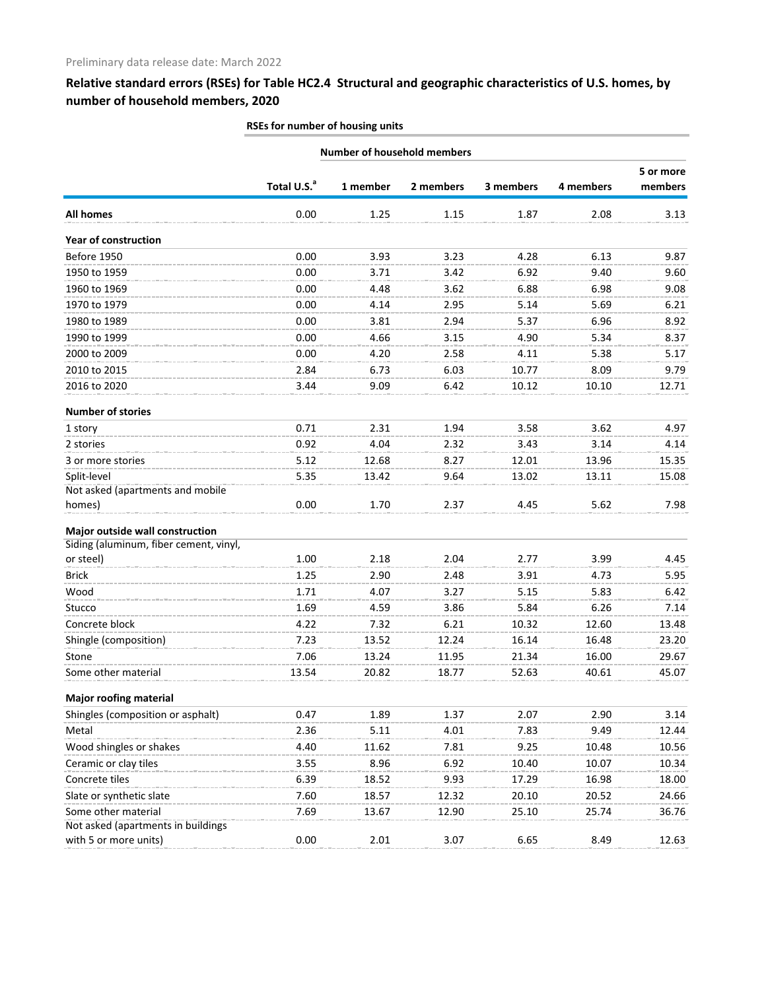|                                        | <b>Number of household members</b> |          |           |           |           |                      |
|----------------------------------------|------------------------------------|----------|-----------|-----------|-----------|----------------------|
|                                        | Total U.S. <sup>a</sup>            | 1 member | 2 members | 3 members | 4 members | 5 or more<br>members |
| <b>All homes</b>                       | 0.00                               | 1.25     | 1.15      | 1.87      | 2.08      | 3.13                 |
| <b>Year of construction</b>            |                                    |          |           |           |           |                      |
| Before 1950                            | 0.00                               | 3.93     | 3.23      | 4.28      | 6.13      | 9.87                 |
| 1950 to 1959                           | 0.00                               | 3.71     | 3.42      | 6.92      | 9.40      | 9.60                 |
| 1960 to 1969                           | 0.00                               | 4.48     | 3.62      | 6.88      | 6.98      | 9.08                 |
| 1970 to 1979                           | 0.00                               | 4.14     | 2.95      | 5.14      | 5.69      | 6.21                 |
| 1980 to 1989                           | 0.00                               | 3.81     | 2.94      | 5.37      | 6.96      | 8.92                 |
| 1990 to 1999                           | 0.00                               | 4.66     | 3.15      | 4.90      | 5.34      | 8.37                 |
| 2000 to 2009                           | 0.00                               | 4.20     | 2.58      | 4.11      | 5.38      | 5.17                 |
| 2010 to 2015                           | 2.84                               | 6.73     | 6.03      | 10.77     | 8.09      | 9.79                 |
| 2016 to 2020                           | 3.44                               | 9.09     | 6.42      | 10.12     | 10.10     | 12.71                |
| <b>Number of stories</b>               |                                    |          |           |           |           |                      |
| 1 story                                | 0.71                               | 2.31     | 1.94      | 3.58      | 3.62      | 4.97                 |
| 2 stories                              | 0.92                               | 4.04     | 2.32      | 3.43      | 3.14      | 4.14                 |
| 3 or more stories                      | 5.12                               | 12.68    | 8.27      | 12.01     | 13.96     | 15.35                |
| Split-level                            | 5.35                               | 13.42    | 9.64      | 13.02     | 13.11     | 15.08                |
| Not asked (apartments and mobile       |                                    |          |           |           |           |                      |
| homes)                                 | 0.00                               | 1.70     | 2.37      | 4.45      | 5.62      | 7.98                 |
| Major outside wall construction        |                                    |          |           |           |           |                      |
| Siding (aluminum, fiber cement, vinyl, |                                    |          |           |           |           |                      |
| or steel)                              | 1.00                               | 2.18     | 2.04      | 2.77      | 3.99      | 4.45                 |
| <b>Brick</b>                           | 1.25                               | 2.90     | 2.48      | 3.91      | 4.73      | 5.95                 |
| Wood                                   | 1.71                               | 4.07     | 3.27      | 5.15      | 5.83      | 6.42                 |
| Stucco                                 | 1.69                               | 4.59     | 3.86      | 5.84      | 6.26      | 7.14                 |
| Concrete block                         | 4.22                               | 7.32     | 6.21      | 10.32     | 12.60     | 13.48                |
| Shingle (composition)                  | 7.23                               | 13.52    | 12.24     | 16.14     | 16.48     | 23.20                |
| Stone                                  | 7.06                               | 13.24    | 11.95     | 21.34     | 16.00     | 29.67                |
| Some other material                    | 13.54                              | 20.82    | 18.77     | 52.63     | 40.61     | 45.07                |
| <b>Major roofing material</b>          |                                    |          |           |           |           |                      |
| Shingles (composition or asphalt)      | 0.47                               | 1.89     | 1.37      | 2.07      | 2.90      | 3.14                 |
| Metal                                  | 2.36                               | 5.11     | 4.01      | 7.83      | 9.49      | 12.44                |
| Wood shingles or shakes                | 4.40                               | 11.62    | 7.81      | 9.25      | 10.48     | 10.56                |
| Ceramic or clay tiles                  | 3.55                               | 8.96     | 6.92      | 10.40     | 10.07     | 10.34                |
| Concrete tiles                         | 6.39                               | 18.52    | 9.93      | 17.29     | 16.98     | 18.00                |
| Slate or synthetic slate               | 7.60                               | 18.57    | 12.32     | 20.10     | 20.52     | 24.66                |
| Some other material                    | 7.69                               | 13.67    | 12.90     | 25.10     | 25.74     | 36.76                |
| Not asked (apartments in buildings     |                                    |          |           |           |           |                      |
| with 5 or more units)                  | 0.00                               | 2.01     | 3.07      | 6.65      | 8.49      | 12.63                |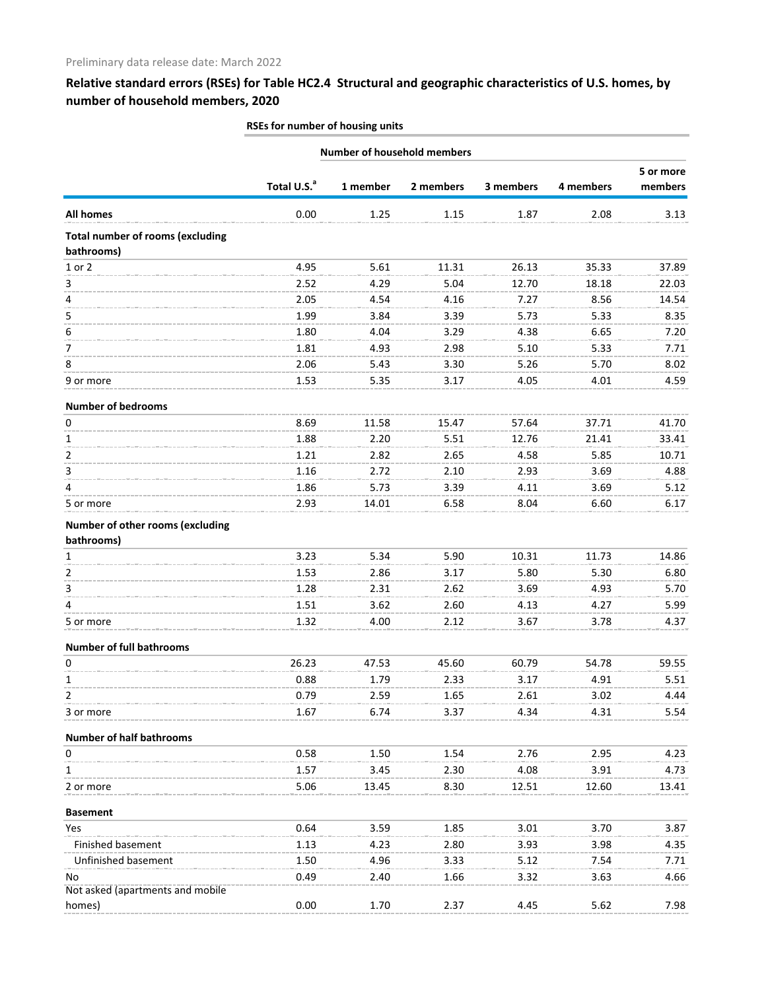|                                                       |                         | <b>Number of household members</b> |           |           |           |                      |
|-------------------------------------------------------|-------------------------|------------------------------------|-----------|-----------|-----------|----------------------|
|                                                       | Total U.S. <sup>a</sup> | 1 member                           | 2 members | 3 members | 4 members | 5 or more<br>members |
| All homes                                             | 0.00                    | 1.25                               | 1.15      | 1.87      | 2.08      | 3.13                 |
| <b>Total number of rooms (excluding</b><br>bathrooms) |                         |                                    |           |           |           |                      |
| 1 or 2                                                | 4.95                    | 5.61                               | 11.31     | 26.13     | 35.33     | 37.89                |
| 3                                                     | 2.52                    | 4.29                               | 5.04      | 12.70     | 18.18     | 22.03                |
| 4                                                     | 2.05                    | 4.54                               | 4.16      | 7.27      | 8.56      | 14.54                |
| 5                                                     | 1.99                    | 3.84                               | 3.39      | 5.73      | 5.33      | 8.35                 |
| 6                                                     | 1.80                    | 4.04                               | 3.29      | 4.38      | 6.65      | 7.20                 |
| 7                                                     | 1.81                    | 4.93                               | 2.98      | 5.10      | 5.33      | 7.71                 |
| 8                                                     | 2.06                    | 5.43                               | 3.30      | 5.26      | 5.70      | 8.02                 |
| 9 or more                                             | 1.53                    | 5.35                               | 3.17      | 4.05      | 4.01      | 4.59                 |
| <b>Number of bedrooms</b>                             |                         |                                    |           |           |           |                      |
| 0                                                     | 8.69                    | 11.58                              | 15.47     | 57.64     | 37.71     | 41.70                |
| 1                                                     | 1.88                    | 2.20                               | 5.51      | 12.76     | 21.41     | 33.41                |
| 2                                                     | 1.21                    | 2.82                               | 2.65      | 4.58      | 5.85      | 10.71                |
| 3                                                     | 1.16                    | 2.72                               | 2.10      | 2.93      | 3.69      | 4.88                 |
| 4                                                     | 1.86                    | 5.73                               | 3.39      | 4.11      | 3.69      | 5.12                 |
| 5 or more                                             | 2.93                    | 14.01                              | 6.58      | 8.04      | 6.60      | 6.17                 |
| Number of other rooms (excluding                      |                         |                                    |           |           |           |                      |
| bathrooms)                                            |                         |                                    |           |           |           |                      |
| 1                                                     | 3.23                    | 5.34                               | 5.90      | 10.31     | 11.73     | 14.86                |
| 2                                                     | 1.53                    | 2.86                               | 3.17      | 5.80      | 5.30      | 6.80                 |
| 3                                                     | 1.28                    | 2.31                               | 2.62      | 3.69      | 4.93      | 5.70                 |
| 4                                                     | 1.51                    | 3.62                               | 2.60      | 4.13      | 4.27      | 5.99                 |
| 5 or more                                             | 1.32                    | 4.00                               | 2.12      | 3.67      | 3.78      | 4.37                 |
| <b>Number of full bathrooms</b>                       |                         |                                    |           |           |           |                      |
| 0                                                     | 26.23                   | 47.53                              | 45.60     | 60.79     | 54.78     | 59.55                |
| 1                                                     | 0.88                    | 1.79                               | 2.33      | 3.17      | 4.91      | 5.51                 |
| 2                                                     | 0.79                    | 2.59                               | 1.65      | 2.61      | 3.02      | 4.44                 |
| 3 or more                                             | 1.67                    | 6.74                               | 3.37      | 4.34      | 4.31      | 5.54                 |
| <b>Number of half bathrooms</b>                       |                         |                                    |           |           |           |                      |
| 0                                                     | 0.58                    | 1.50                               | 1.54      | 2.76      | 2.95      | 4.23                 |
| 1                                                     | 1.57                    | 3.45                               | 2.30      | 4.08      | 3.91      | 4.73                 |
| 2 or more                                             | 5.06                    | 13.45                              | 8.30      | 12.51     | 12.60     | 13.41                |
| <b>Basement</b>                                       |                         |                                    |           |           |           |                      |
| Yes                                                   | 0.64                    | 3.59                               | 1.85      | 3.01      | 3.70      | 3.87                 |
| Finished basement                                     | 1.13                    | 4.23                               | 2.80      | 3.93      | 3.98      | 4.35                 |
| Unfinished basement                                   | 1.50                    | 4.96                               | 3.33      | 5.12      | 7.54      | 7.71                 |
| No                                                    | 0.49                    | 2.40                               | 1.66      | 3.32      | 3.63      | 4.66                 |
| Not asked (apartments and mobile                      |                         |                                    |           |           |           |                      |
| homes)                                                | 0.00                    | 1.70                               | 2.37      | 4.45      | 5.62      | 7.98                 |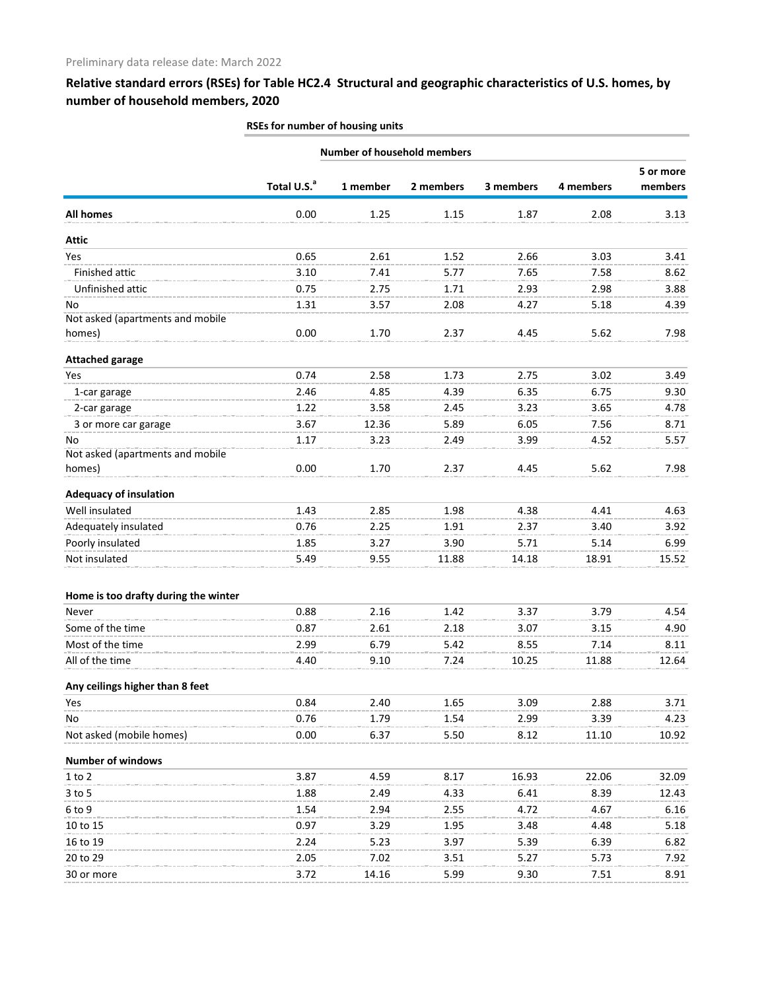|                                      |                         |          | <b>Number of household members</b> |           |           |                      |
|--------------------------------------|-------------------------|----------|------------------------------------|-----------|-----------|----------------------|
|                                      | Total U.S. <sup>a</sup> | 1 member | 2 members                          | 3 members | 4 members | 5 or more<br>members |
| <b>All homes</b>                     | 0.00                    | 1.25     | 1.15                               | 1.87      | 2.08      | 3.13                 |
| <b>Attic</b>                         |                         |          |                                    |           |           |                      |
| Yes                                  | 0.65                    | 2.61     | 1.52                               | 2.66      | 3.03      | 3.41                 |
| Finished attic                       | 3.10                    | 7.41     | 5.77                               | 7.65      | 7.58      | 8.62                 |
| Unfinished attic                     | 0.75                    | 2.75     | 1.71                               | 2.93      | 2.98      | 3.88                 |
| No                                   | 1.31                    | 3.57     | 2.08                               | 4.27      | 5.18      | 4.39                 |
| Not asked (apartments and mobile     |                         |          |                                    |           |           |                      |
| homes)                               | 0.00                    | 1.70     | 2.37                               | 4.45      | 5.62      | 7.98                 |
| <b>Attached garage</b>               |                         |          |                                    |           |           |                      |
| Yes                                  | 0.74                    | 2.58     | 1.73                               | 2.75      | 3.02      | 3.49                 |
| 1-car garage                         | 2.46                    | 4.85     | 4.39                               | 6.35      | 6.75      | 9.30                 |
| 2-car garage                         | 1.22                    | 3.58     | 2.45                               | 3.23      | 3.65      | 4.78                 |
| 3 or more car garage                 | 3.67                    | 12.36    | 5.89                               | 6.05      | 7.56      | 8.71                 |
| No                                   | 1.17                    | 3.23     | 2.49                               | 3.99      | 4.52      | 5.57                 |
| Not asked (apartments and mobile     |                         |          |                                    |           |           |                      |
| homes)                               | 0.00                    | 1.70     | 2.37                               | 4.45      | 5.62      | 7.98                 |
| <b>Adequacy of insulation</b>        |                         |          |                                    |           |           |                      |
| Well insulated                       | 1.43                    | 2.85     | 1.98                               | 4.38      | 4.41      | 4.63                 |
| Adequately insulated                 | 0.76                    | 2.25     | 1.91                               | 2.37      | 3.40      | 3.92                 |
| Poorly insulated                     | 1.85                    | 3.27     | 3.90                               | 5.71      | 5.14      | 6.99                 |
| Not insulated                        | 5.49                    | 9.55     | 11.88                              | 14.18     | 18.91     | 15.52                |
|                                      |                         |          |                                    |           |           |                      |
| Home is too drafty during the winter |                         |          |                                    |           |           |                      |
| Never                                | 0.88                    | 2.16     | 1.42                               | 3.37      | 3.79      | 4.54                 |
| Some of the time                     | 0.87                    | 2.61     | 2.18                               | 3.07      | 3.15      | 4.90                 |
| Most of the time                     | 2.99                    | 6.79     | 5.42                               | 8.55      | 7.14      | 8.11                 |
| All of the time                      | 4.40                    | 9.10     | 7.24                               | 10.25     | 11.88     | 12.64                |
| Any ceilings higher than 8 feet      |                         |          |                                    |           |           |                      |
| Yes                                  | 0.84                    | 2.40     | 1.65                               | 3.09      | 2.88      | 3.71                 |
| No                                   | 0.76                    | 1.79     | 1.54                               | 2.99      | 3.39      | 4.23                 |
| Not asked (mobile homes)             | 0.00                    | 6.37     | 5.50                               | 8.12      | 11.10     | 10.92                |
| <b>Number of windows</b>             |                         |          |                                    |           |           |                      |
| $1$ to $2$                           | 3.87                    | 4.59     | 8.17                               | 16.93     | 22.06     | 32.09                |
| 3 to 5                               | 1.88                    | 2.49     | 4.33                               | 6.41      | 8.39      | 12.43                |
| 6 to 9                               | 1.54                    | 2.94     | 2.55                               | 4.72      | 4.67      | 6.16                 |
| 10 to 15                             | 0.97                    | 3.29     | 1.95                               | 3.48      | 4.48      | 5.18                 |
| 16 to 19                             | 2.24                    | 5.23     | 3.97                               | 5.39      | 6.39      | 6.82                 |
| 20 to 29                             | 2.05                    | 7.02     | 3.51                               | 5.27      | 5.73      | 7.92                 |
| 30 or more                           | 3.72                    | 14.16    | 5.99                               | 9.30      | 7.51      | 8.91                 |
|                                      |                         |          |                                    |           |           |                      |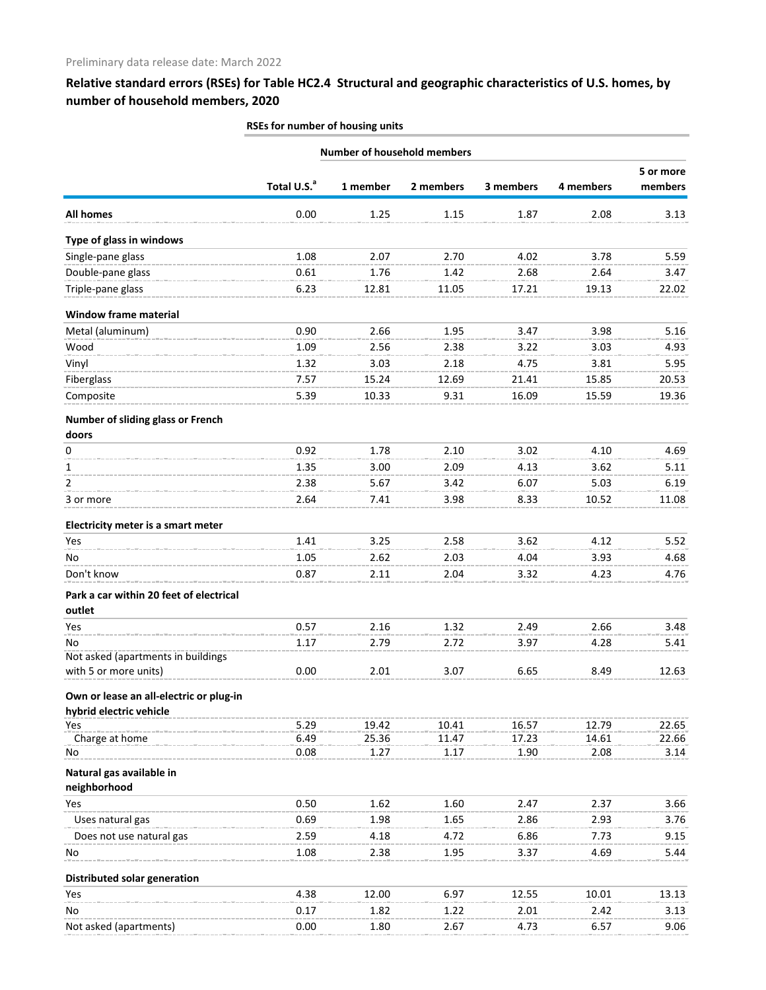|                                            |                         | <b>Number of household members</b> |               |               |               |                      |
|--------------------------------------------|-------------------------|------------------------------------|---------------|---------------|---------------|----------------------|
|                                            | Total U.S. <sup>a</sup> | 1 member                           | 2 members     | 3 members     | 4 members     | 5 or more<br>members |
|                                            |                         |                                    |               |               |               |                      |
| <b>All homes</b>                           | 0.00                    | 1.25                               | 1.15          | 1.87          | 2.08          | 3.13                 |
| Type of glass in windows                   |                         |                                    |               |               |               |                      |
| Single-pane glass                          | 1.08                    | 2.07                               | 2.70          | 4.02          | 3.78          | 5.59                 |
| Double-pane glass                          | 0.61                    | 1.76                               | 1.42          | 2.68          | 2.64          | 3.47                 |
| Triple-pane glass                          | 6.23                    | 12.81                              | 11.05         | 17.21         | 19.13         | 22.02                |
| <b>Window frame material</b>               |                         |                                    |               |               |               |                      |
| Metal (aluminum)                           | 0.90                    | 2.66                               | 1.95          | 3.47          | 3.98          | 5.16                 |
| Wood                                       | 1.09                    | 2.56                               | 2.38          | 3.22          | 3.03          | 4.93                 |
| Vinyl                                      | 1.32                    | 3.03                               | 2.18          | 4.75          | 3.81          | 5.95                 |
| Fiberglass                                 | 7.57                    | 15.24                              | 12.69         | 21.41         | 15.85         | 20.53                |
| Composite                                  | 5.39                    | 10.33                              | 9.31          | 16.09         | 15.59         | 19.36                |
|                                            |                         |                                    |               |               |               |                      |
| Number of sliding glass or French<br>doors |                         |                                    |               |               |               |                      |
| $\pmb{0}$                                  | 0.92                    | 1.78                               | 2.10          | 3.02          | 4.10          | 4.69                 |
| 1                                          | 1.35                    | 3.00                               | 2.09          | 4.13          | 3.62          | 5.11                 |
| 2                                          | 2.38                    | 5.67                               | 3.42          | 6.07          | 5.03          | 6.19                 |
| 3 or more                                  | 2.64                    | 7.41                               | 3.98          | 8.33          | 10.52         | 11.08                |
| Electricity meter is a smart meter         |                         |                                    |               |               |               |                      |
| Yes                                        | 1.41                    | 3.25                               | 2.58          | 3.62          | 4.12          | 5.52                 |
| No                                         | 1.05                    | 2.62                               | 2.03          | 4.04          | 3.93          | 4.68                 |
| Don't know                                 | 0.87                    | 2.11                               | 2.04          | 3.32          | 4.23          | 4.76                 |
| Park a car within 20 feet of electrical    |                         |                                    |               |               |               |                      |
| outlet                                     |                         |                                    |               |               |               |                      |
| Yes                                        | 0.57                    | 2.16                               | 1.32          | 2.49          | 2.66          | 3.48                 |
| No                                         | 1.17                    | 2.79                               | 2.72          | 3.97          | 4.28          | 5.41                 |
| Not asked (apartments in buildings         |                         |                                    |               |               |               |                      |
| with 5 or more units)                      | 0.00                    | 2.01                               | 3.07          | 6.65          | 8.49          | 12.63                |
| Own or lease an all-electric or plug-in    |                         |                                    |               |               |               |                      |
| hybrid electric vehicle                    |                         |                                    |               |               |               |                      |
| Yes                                        | 5.29                    | 19.42                              | 10.41         | 16.57         | 12.79         | 22.65                |
| Charge at home<br>No                       | 6.49<br>0.08            | 25.36<br>1.27                      | 11.47<br>1.17 | 17.23<br>1.90 | 14.61<br>2.08 | 22.66<br>3.14        |
|                                            |                         |                                    |               |               |               |                      |
| Natural gas available in<br>neighborhood   |                         |                                    |               |               |               |                      |
| Yes                                        | 0.50                    | 1.62                               | 1.60          | 2.47          | 2.37          | 3.66                 |
| Uses natural gas                           | 0.69                    | 1.98                               | 1.65          | 2.86          | 2.93          | 3.76                 |
| Does not use natural gas                   | 2.59                    | 4.18                               | 4.72          | 6.86          | 7.73          | 9.15                 |
| No                                         | 1.08                    | 2.38                               | 1.95          | 3.37          | 4.69          | 5.44                 |
|                                            |                         |                                    |               |               |               |                      |
| Distributed solar generation<br>Yes        | 4.38                    | 12.00                              | 6.97          |               | 10.01         | 13.13                |
| No                                         | 0.17                    | 1.82                               | 1.22          | 12.55<br>2.01 | 2.42          | 3.13                 |
| Not asked (apartments)                     | 0.00                    | 1.80                               | 2.67          | 4.73          | 6.57          | 9.06                 |
|                                            |                         |                                    |               |               |               |                      |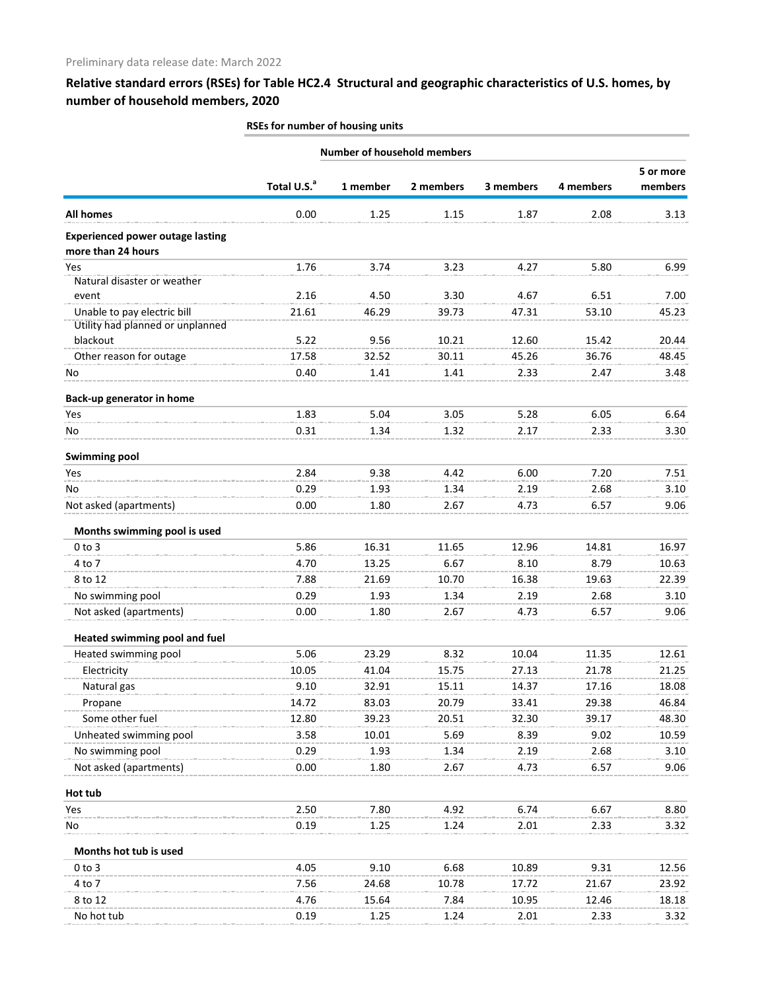|                                                               | <b>Number of household members</b> |          |           |           |           |                      |
|---------------------------------------------------------------|------------------------------------|----------|-----------|-----------|-----------|----------------------|
|                                                               | Total U.S. <sup>a</sup>            | 1 member | 2 members | 3 members | 4 members | 5 or more<br>members |
| <b>All homes</b>                                              | 0.00                               | 1.25     | 1.15      | 1.87      | 2.08      | 3.13                 |
| <b>Experienced power outage lasting</b><br>more than 24 hours |                                    |          |           |           |           |                      |
| Yes                                                           | 1.76                               | 3.74     | 3.23      | 4.27      | 5.80      | 6.99                 |
| Natural disaster or weather                                   |                                    |          |           |           |           |                      |
| event                                                         | 2.16                               | 4.50     | 3.30      | 4.67      | 6.51      | 7.00                 |
| Unable to pay electric bill                                   | 21.61                              | 46.29    | 39.73     | 47.31     | 53.10     | 45.23                |
| Utility had planned or unplanned                              |                                    |          |           |           |           |                      |
| blackout                                                      | 5.22                               | 9.56     | 10.21     | 12.60     | 15.42     | 20.44                |
| Other reason for outage                                       | 17.58                              | 32.52    | 30.11     | 45.26     | 36.76     | 48.45                |
| No                                                            | 0.40                               | 1.41     | 1.41      | 2.33      | 2.47      | 3.48                 |
| Back-up generator in home                                     |                                    |          |           |           |           |                      |
| Yes                                                           | 1.83                               | 5.04     | 3.05      | 5.28      | 6.05      | 6.64                 |
| No                                                            | 0.31                               | 1.34     | 1.32      | 2.17      | 2.33      | 3.30                 |
| <b>Swimming pool</b>                                          |                                    |          |           |           |           |                      |
| Yes                                                           | 2.84                               | 9.38     | 4.42      | 6.00      | 7.20      | 7.51                 |
| No                                                            | 0.29                               | 1.93     | 1.34      | 2.19      | 2.68      | 3.10                 |
| Not asked (apartments)                                        | 0.00                               | 1.80     | 2.67      | 4.73      | 6.57      | 9.06                 |
| Months swimming pool is used                                  |                                    |          |           |           |           |                      |
| $0$ to $3$                                                    | 5.86                               | 16.31    | 11.65     | 12.96     | 14.81     | 16.97                |
| 4 to 7                                                        | 4.70                               | 13.25    | 6.67      | 8.10      | 8.79      | 10.63                |
| 8 to 12                                                       | 7.88                               | 21.69    | 10.70     | 16.38     | 19.63     | 22.39                |
| No swimming pool                                              | 0.29                               | 1.93     | 1.34      | 2.19      | 2.68      | 3.10                 |
| Not asked (apartments)                                        | 0.00                               | 1.80     | 2.67      | 4.73      | 6.57      | 9.06                 |
| <b>Heated swimming pool and fuel</b>                          |                                    |          |           |           |           |                      |
| Heated swimming pool                                          | 5.06                               | 23.29    | 8.32      | 10.04     | 11.35     | 12.61                |
| Electricity                                                   | 10.05                              | 41.04    | 15.75     | 27.13     | 21.78     | 21.25                |
| Natural gas                                                   | 9.10                               | 32.91    | 15.11     | 14.37     | 17.16     | 18.08                |
| Propane                                                       | 14.72                              | 83.03    | 20.79     | 33.41     | 29.38     | 46.84                |
| Some other fuel                                               | 12.80                              | 39.23    | 20.51     | 32.30     | 39.17     | 48.30                |
| Unheated swimming pool                                        | 3.58                               | 10.01    | 5.69      | 8.39      | 9.02      | 10.59                |
| No swimming pool                                              | 0.29                               | 1.93     | 1.34      | 2.19      | 2.68      | 3.10                 |
| Not asked (apartments)                                        | 0.00                               | 1.80     | 2.67      | 4.73      | 6.57      | 9.06                 |
|                                                               |                                    |          |           |           |           |                      |
| Hot tub<br>Yes                                                | 2.50                               | 7.80     | 4.92      | 6.74      | 6.67      | 8.80                 |
| No                                                            | 0.19                               | 1.25     | 1.24      | 2.01      | 2.33      | 3.32                 |
|                                                               |                                    |          |           |           |           |                      |
| Months hot tub is used                                        |                                    |          |           |           |           |                      |
| $0$ to $3$                                                    | 4.05                               | 9.10     | 6.68      | 10.89     | 9.31      | 12.56                |
| 4 to 7                                                        | 7.56                               | 24.68    | 10.78     | 17.72     | 21.67     | 23.92                |
| 8 to 12                                                       | 4.76                               | 15.64    | 7.84      | 10.95     | 12.46     | 18.18                |
| No hot tub                                                    | 0.19                               | 1.25     | 1.24      | 2.01      | 2.33      | 3.32                 |